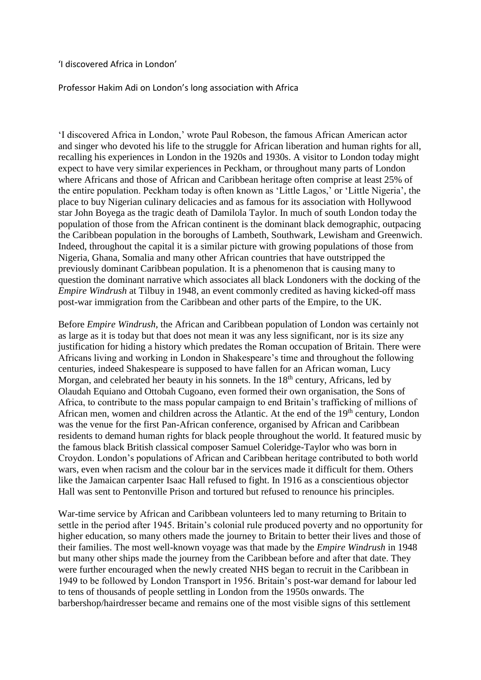'I discovered Africa in London'

Professor Hakim Adi on London's long association with Africa

'I discovered Africa in London,' wrote Paul Robeson, the famous African American actor and singer who devoted his life to the struggle for African liberation and human rights for all, recalling his experiences in London in the 1920s and 1930s. A visitor to London today might expect to have very similar experiences in Peckham, or throughout many parts of London where Africans and those of African and Caribbean heritage often comprise at least 25% of the entire population. Peckham today is often known as 'Little Lagos,' or 'Little Nigeria', the place to buy Nigerian culinary delicacies and as famous for its association with Hollywood star John Boyega as the tragic death of Damilola Taylor. In much of south London today the population of those from the African continent is the dominant black demographic, outpacing the Caribbean population in the boroughs of Lambeth, Southwark, Lewisham and Greenwich. Indeed, throughout the capital it is a similar picture with growing populations of those from Nigeria, Ghana, Somalia and many other African countries that have outstripped the previously dominant Caribbean population. It is a phenomenon that is causing many to question the dominant narrative which associates all black Londoners with the docking of the *Empire Windrush* at Tilbuy in 1948, an event commonly credited as having kicked-off mass post-war immigration from the Caribbean and other parts of the Empire, to the UK.

Before *Empire Windrush*, the African and Caribbean population of London was certainly not as large as it is today but that does not mean it was any less significant, nor is its size any justification for hiding a history which predates the Roman occupation of Britain. There were Africans living and working in London in Shakespeare's time and throughout the following centuries, indeed Shakespeare is supposed to have fallen for an African woman, Lucy Morgan, and celebrated her beauty in his sonnets. In the  $18<sup>th</sup>$  century, Africans, led by Olaudah Equiano and Ottobah Cugoano, even formed their own organisation, the Sons of Africa, to contribute to the mass popular campaign to end Britain's trafficking of millions of African men, women and children across the Atlantic. At the end of the  $19<sup>th</sup>$  century, London was the venue for the first Pan-African conference, organised by African and Caribbean residents to demand human rights for black people throughout the world. It featured music by the famous black British classical composer Samuel Coleridge-Taylor who was born in Croydon. London's populations of African and Caribbean heritage contributed to both world wars, even when racism and the colour bar in the services made it difficult for them. Others like the Jamaican carpenter Isaac Hall refused to fight. In 1916 as a conscientious objector Hall was sent to Pentonville Prison and tortured but refused to renounce his principles.

War-time service by African and Caribbean volunteers led to many returning to Britain to settle in the period after 1945. Britain's colonial rule produced poverty and no opportunity for higher education, so many others made the journey to Britain to better their lives and those of their families. The most well-known voyage was that made by the *Empire Windrush* in 1948 but many other ships made the journey from the Caribbean before and after that date. They were further encouraged when the newly created NHS began to recruit in the Caribbean in 1949 to be followed by London Transport in 1956. Britain's post-war demand for labour led to tens of thousands of people settling in London from the 1950s onwards. The barbershop/hairdresser became and remains one of the most visible signs of this settlement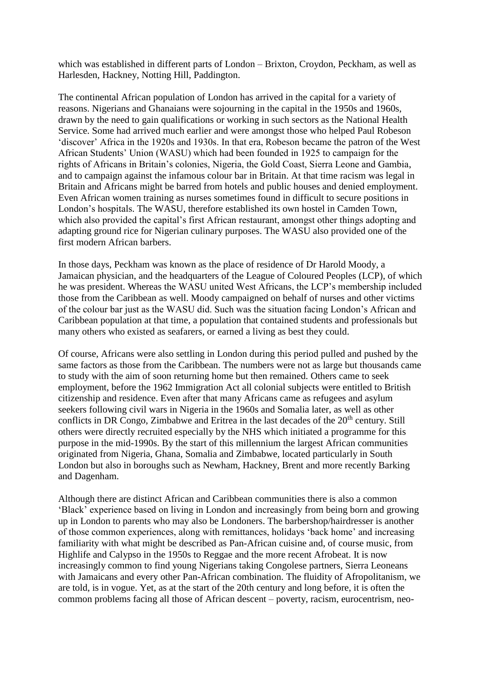which was established in different parts of London – Brixton, Croydon, Peckham, as well as Harlesden, Hackney, Notting Hill, Paddington.

The continental African population of London has arrived in the capital for a variety of reasons. Nigerians and Ghanaians were sojourning in the capital in the 1950s and 1960s, drawn by the need to gain qualifications or working in such sectors as the National Health Service. Some had arrived much earlier and were amongst those who helped Paul Robeson 'discover' Africa in the 1920s and 1930s. In that era, Robeson became the patron of the West African Students' Union (WASU) which had been founded in 1925 to campaign for the rights of Africans in Britain's colonies, Nigeria, the Gold Coast, Sierra Leone and Gambia, and to campaign against the infamous colour bar in Britain. At that time racism was legal in Britain and Africans might be barred from hotels and public houses and denied employment. Even African women training as nurses sometimes found in difficult to secure positions in London's hospitals. The WASU, therefore established its own hostel in Camden Town, which also provided the capital's first African restaurant, amongst other things adopting and adapting ground rice for Nigerian culinary purposes. The WASU also provided one of the first modern African barbers.

In those days, Peckham was known as the place of residence of Dr Harold Moody, a Jamaican physician, and the headquarters of the League of Coloured Peoples (LCP), of which he was president. Whereas the WASU united West Africans, the LCP's membership included those from the Caribbean as well. Moody campaigned on behalf of nurses and other victims of the colour bar just as the WASU did. Such was the situation facing London's African and Caribbean population at that time, a population that contained students and professionals but many others who existed as seafarers, or earned a living as best they could.

Of course, Africans were also settling in London during this period pulled and pushed by the same factors as those from the Caribbean. The numbers were not as large but thousands came to study with the aim of soon returning home but then remained. Others came to seek employment, before the 1962 Immigration Act all colonial subjects were entitled to British citizenship and residence. Even after that many Africans came as refugees and asylum seekers following civil wars in Nigeria in the 1960s and Somalia later, as well as other conflicts in DR Congo, Zimbabwe and Eritrea in the last decades of the  $20<sup>th</sup>$  century. Still others were directly recruited especially by the NHS which initiated a programme for this purpose in the mid-1990s. By the start of this millennium the largest African communities originated from Nigeria, Ghana, Somalia and Zimbabwe, located particularly in South London but also in boroughs such as Newham, Hackney, Brent and more recently Barking and Dagenham.

Although there are distinct African and Caribbean communities there is also a common 'Black' experience based on living in London and increasingly from being born and growing up in London to parents who may also be Londoners. The barbershop/hairdresser is another of those common experiences, along with remittances, holidays 'back home' and increasing familiarity with what might be described as Pan-African cuisine and, of course music, from Highlife and Calypso in the 1950s to Reggae and the more recent Afrobeat. It is now increasingly common to find young Nigerians taking Congolese partners, Sierra Leoneans with Jamaicans and every other Pan-African combination. The fluidity of Afropolitanism, we are told, is in vogue. Yet, as at the start of the 20th century and long before, it is often the common problems facing all those of African descent – poverty, racism, eurocentrism, neo